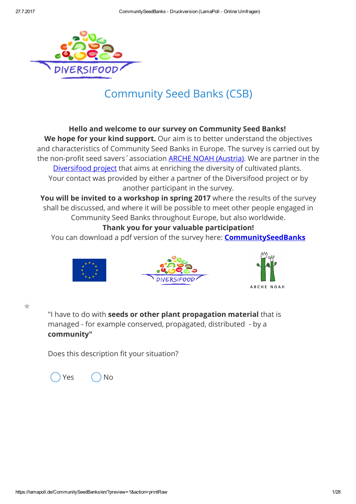

# Community Seed Banks (CSB)

### Hello and welcome to our survey on Community Seed Banks!

We hope for your kind support. Our aim is to better understand the objectives and characteristics of Community Seed Banks in Europe. The survey is carried out by the non-profit seed savers' association **ARCHE NOAH (Austria)**. We are partner in the [Diversifood](http://www.diversifood.eu/) project that aims at enriching the diversity of cultivated plants. Your contact was provided by either a partner of the Diversifood project or by another participant in the survey.

You will be invited to a workshop in spring 2017 where the results of the survey shall be discussed, and where it will be possible to meet other people engaged in Community Seed Banks throughout Europe, but also worldwide.

## Thank you for your valuable participation!

You can download a pdf version of the survey here: **[CommunitySeedBanks](https://lamapoll.de/CommunitySeedBanks/?preview=1&action=print)** 





 $\frac{1}{\sqrt{2}}$ 

"I have to do with seeds or other plant propagation material that is managed - for example conserved, propagated, distributed - by a community"

Does this description fit your situation?



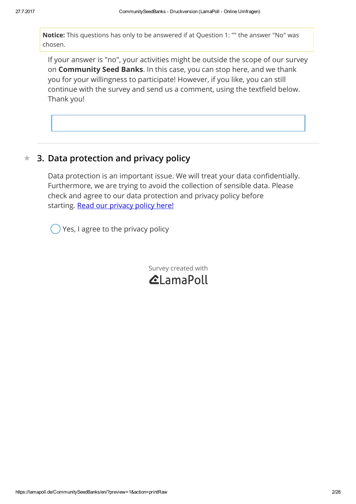Notice: This questions has only to be answered if at Question 1: "" the answer "No" was chosen.

If your answer is "no", your activities might be outside the scope of our survey on Community Seed Banks. In this case, you can stop here, and we thank you for your willingness to participate! However, if you like, you can still continue with the survey and send us a comment, using the textfield below. Thank you!

#### $\star$ 3. Data protection and privacy policy

Data protection is an important issue. We will treat your data confidentially. Furthermore, we are trying to avoid the collection of sensible data. Please check and agree to our data protection and privacy policy before starting. Read our [privacy](https://app.lamapoll.de/usr/7453/files/privacy%20policy.docx) policy here!

Yes, I agree to the privacy policy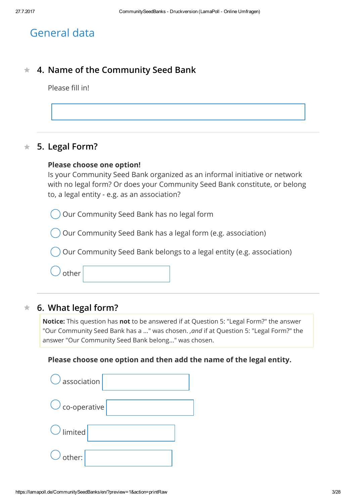# General data

#### $\star$ 4. Name of the Community Seed Bank

Please fill in!



#### $\frac{1}{\sqrt{2}}$ 5. Legal Form?

### Please choose one option!

Is your Community Seed Bank organized as an informal initiative or network with no legal form? Or does your Community Seed Bank constitute, or belong to, a legal entity - e.g. as an association?

Our Community Seed Bank has no legal form

Our Community Seed Bank has a legal form (e.g. association)

Our Community Seed Bank belongs to a legal entity (e.g. association)

other

#### $\star$ 6. What legal form?

Notice: This question has not to be answered if at Question 5: "Legal Form?" the answer "Our Community Seed Bank has a ..." was chosen. ,and if at Question 5: "Legal Form?" the answer "Our Community Seed Bank belong..." was chosen.

### Please choose one option and then add the name of the legal entity.

| $\bigcirc$ association $ $ |
|----------------------------|
| $\bigcirc$ co-operative    |
| $\bigcirc$ limited         |
| $\bigcirc$ other:          |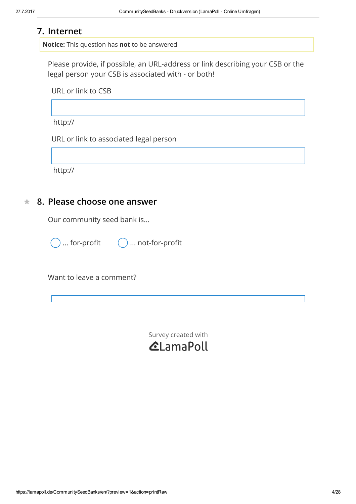## 7. Internet

Notice: This question has not to be answered

Please provide, if possible, an URL-address or link describing your CSB or the legal person your CSB is associated with - or both!

URL or link to CSB

http://

URL or link to associated legal person

http://

#### $\frac{1}{2}$ 8. Please choose one answer

Our community seed bank is...

) ... for-profit  $\bigcirc$  ... not-for-profit

Want to leave a comment?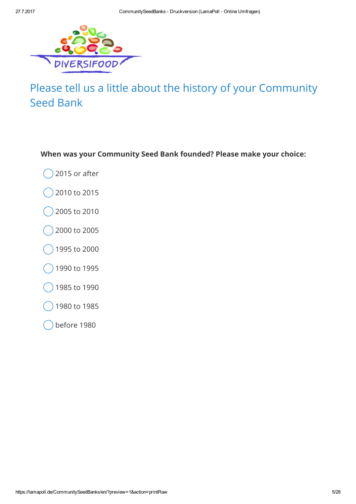

# Please tell us a little about the history of your Community Seed Bank

## When was your Community Seed Bank founded? Please make your choice:

- 2015 or after
- 2010 to 2015
- 2005 to 2010
- 2000 to 2005
- 1995 to 2000
- 1990 to 1995
- 1985 to 1990
- 1980 to 1985
- before 1980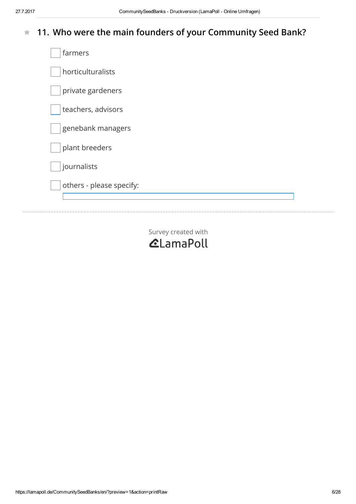#### $\frac{1}{\sqrt{2}}$ 11. Who were the main founders of your Community Seed Bank?

| farmers                  |  |
|--------------------------|--|
| horticulturalists        |  |
| private gardeners        |  |
| teachers, advisors       |  |
| genebank managers        |  |
| plant breeders           |  |
| journalists              |  |
| others - please specify: |  |
|                          |  |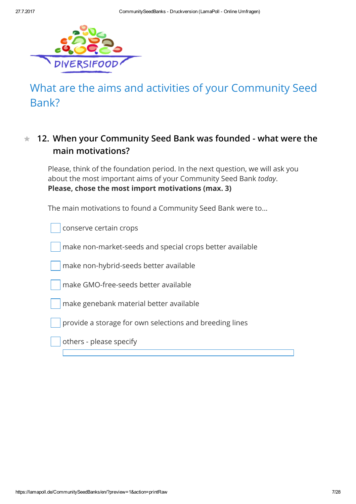

# What are the aims and activities of your Community Seed Bank?

### 12. When your Community Seed Bank was founded - what were the main motivations?  $\star$

Please, think of the foundation period. In the next question, we will ask you about the most important aims of your Community Seed Bank today. Please, chose the most import motivations (max. 3)

The main motivations to found a Community Seed Bank were to...

conserve certain crops make non-market-seeds and special crops better available make non-hybrid-seeds better available make GMO-free-seeds better available make genebank material better available provide a storage for own selections and breeding lines

others - please specify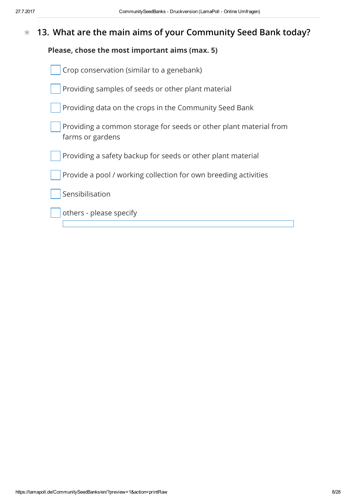#### $\frac{1}{\sqrt{2}}$ 13. What are the main aims of your Community Seed Bank today?

## Please, chose the most important aims (max. 5)

| Crop conservation (similar to a genebank)                                             |
|---------------------------------------------------------------------------------------|
| Providing samples of seeds or other plant material                                    |
| Providing data on the crops in the Community Seed Bank                                |
| Providing a common storage for seeds or other plant material from<br>farms or gardens |
| Providing a safety backup for seeds or other plant material                           |
| Provide a pool / working collection for own breeding activities                       |
| Sensibilisation                                                                       |
| others - please specify                                                               |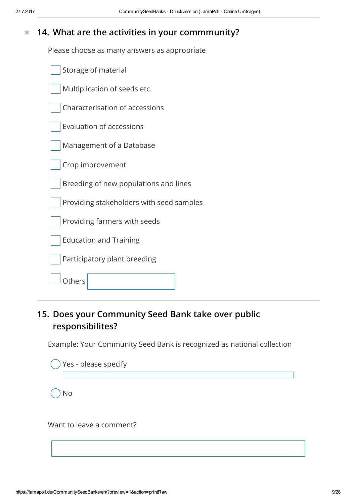#### $\bigstar$ 14. What are the activities in your commmunity?

Please choose as many answers as appropriate

| Storage of material                      |
|------------------------------------------|
| Multiplication of seeds etc.             |
| Characterisation of accessions           |
| <b>Evaluation of accessions</b>          |
| Management of a Database                 |
| Crop improvement                         |
| Breeding of new populations and lines    |
| Providing stakeholders with seed samples |
| Providing farmers with seeds             |
| <b>Education and Training</b>            |
| Participatory plant breeding             |
| )thers                                   |

## 15. Does your Community Seed Bank take over public responsibilites?

Example: Your Community Seed Bank is recognized as national collection

| $()$ Yes - please specify |  |
|---------------------------|--|
| <b>No</b>                 |  |
| Want to leave a comment?  |  |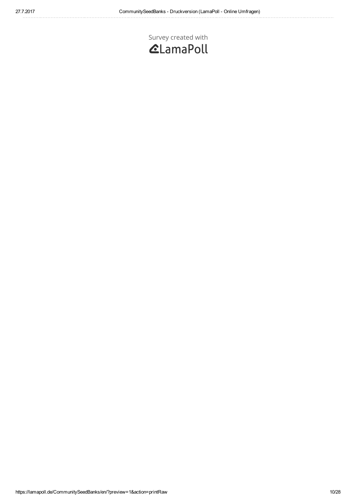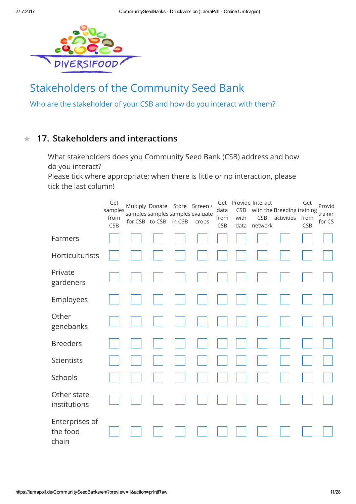

# Stakeholders of the Community Seed Bank

Who are the stakeholder of your CSB and how do you interact with them?

#### $\frac{1}{2\pi}$ 17. Stakeholders and interactions

What stakeholders does you Community Seed Bank (CSB) address and how do you interact?

Please tick where appropriate; when there is little or no interaction, please tick the last column!

|                                     | Get<br>samples<br>from<br>CSB | for CSB to CSB in CSB |  | Multiply Donate Store Screen /<br>samples samples samples evaluate<br>crops | data<br>from<br>CSB | CSB<br>with<br>data | Get Provide Interact<br>with the Breeding training<br>CSB<br>network | activities from | Get<br>CSB | Provid<br>trainin<br>for CS |
|-------------------------------------|-------------------------------|-----------------------|--|-----------------------------------------------------------------------------|---------------------|---------------------|----------------------------------------------------------------------|-----------------|------------|-----------------------------|
| Farmers                             |                               |                       |  |                                                                             |                     |                     |                                                                      |                 |            |                             |
| Horticulturists                     |                               |                       |  |                                                                             |                     |                     |                                                                      |                 |            |                             |
| Private<br>gardeners                |                               |                       |  |                                                                             |                     |                     |                                                                      |                 |            |                             |
| Employees                           |                               |                       |  |                                                                             |                     |                     |                                                                      |                 |            |                             |
| Other<br>genebanks                  |                               |                       |  |                                                                             |                     |                     |                                                                      |                 |            |                             |
| <b>Breeders</b>                     |                               |                       |  |                                                                             |                     |                     |                                                                      |                 |            |                             |
| Scientists                          |                               |                       |  |                                                                             |                     |                     |                                                                      |                 |            |                             |
| Schools                             |                               |                       |  |                                                                             |                     |                     |                                                                      |                 |            |                             |
| Other state<br>institutions         |                               |                       |  |                                                                             |                     |                     |                                                                      |                 |            |                             |
| Enterprises of<br>the food<br>chain |                               |                       |  |                                                                             |                     |                     |                                                                      |                 |            |                             |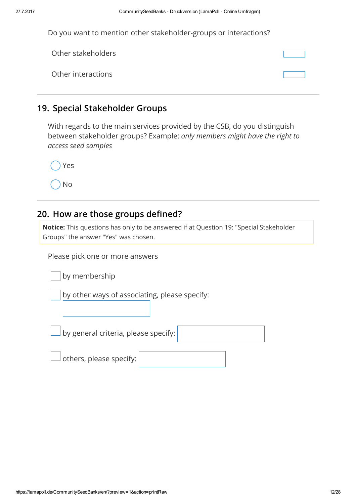| Do you want to mention other stakeholder-groups or interactions? |  |  |
|------------------------------------------------------------------|--|--|
|------------------------------------------------------------------|--|--|

| Other stakeholders |  |
|--------------------|--|
| Other interactions |  |

## 19. Special Stakeholder Groups

With regards to the main services provided by the CSB, do you distinguish between stakeholder groups? Example: only members might have the right to access seed samples

No

## 20. How are those groups defined?

Notice: This questions has only to be answered if at Question 19: "Special Stakeholder Groups" the answer "Yes" was chosen.

Please pick one or more answers

|  | by membership |
|--|---------------|

by other ways of associating, please specify:

by general criteria, please specify:

others, please specify: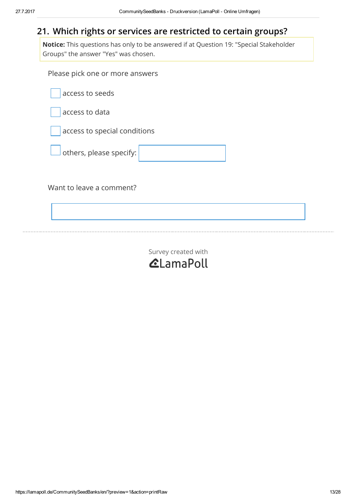## 21. Which rights or services are restricted to certain groups?

Notice: This questions has only to be answered if at Question 19: "Special Stakeholder Groups" the answer "Yes" was chosen.

Please pick one or more answers

access to seeds

access to data

access to special conditions



Want to leave a comment?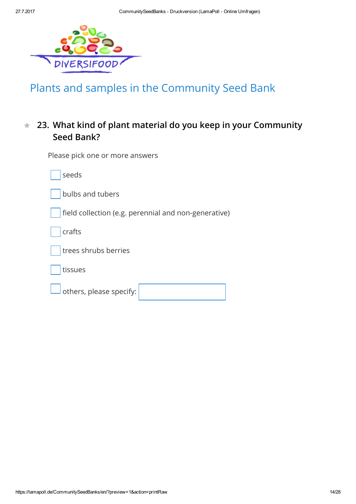

# Plants and samples in the Community Seed Bank

### 23. What kind of plant material do you keep in your Community Seed Bank?  $\frac{1}{\sqrt{2}}$

| <b>I ICASC PICK ONC. OF THOLE CHISTICIS</b>          |
|------------------------------------------------------|
| seeds                                                |
| bulbs and tubers                                     |
| field collection (e.g. perennial and non-generative) |
| crafts                                               |
| trees shrubs berries                                 |
| tissues                                              |
| others, please specify:                              |
|                                                      |

Please pick one or more answers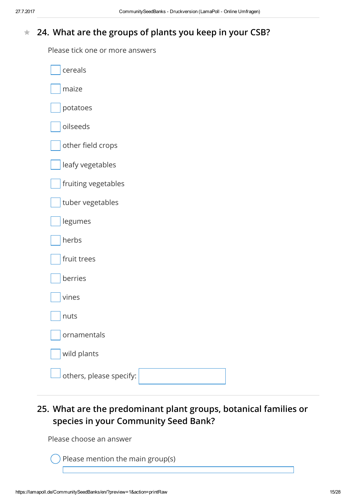#### $\bigstar$ 24. What are the groups of plants you keep in your CSB?

Please tick one or more answers

| cereals                 |
|-------------------------|
| maize                   |
| potatoes                |
| oilseeds                |
| other field crops       |
| leafy vegetables        |
| fruiting vegetables     |
| tuber vegetables        |
| legumes                 |
| herbs                   |
| fruit trees             |
| berries                 |
| vines                   |
| nuts                    |
| ornamentals             |
| wild plants             |
| others, please specify: |

25. What are the predominant plant groups, botanical families or species in your Community Seed Bank?

Please choose an answer

Please mention the main group(s)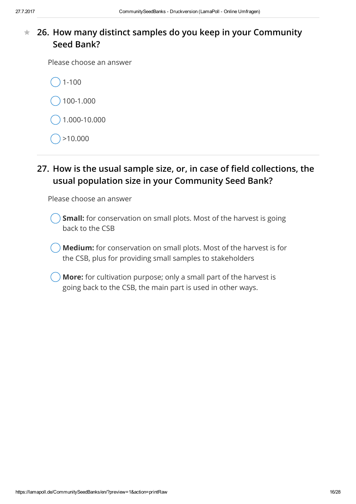### 26. How many distinct samples do you keep in your Community Seed Bank?  $\frac{1}{\sqrt{2}}$

Please choose an answer

1-100

100-1.000

1.000-10.000

>10.000

## 27. How is the usual sample size, or, in case of field collections, the usual population size in your Community Seed Bank?

Please choose an answer

Small: for conservation on small plots. Most of the harvest is going back to the CSB

Medium: for conservation on small plots. Most of the harvest is for the CSB, plus for providing small samples to stakeholders

More: for cultivation purpose; only a small part of the harvest is going back to the CSB, the main part is used in other ways.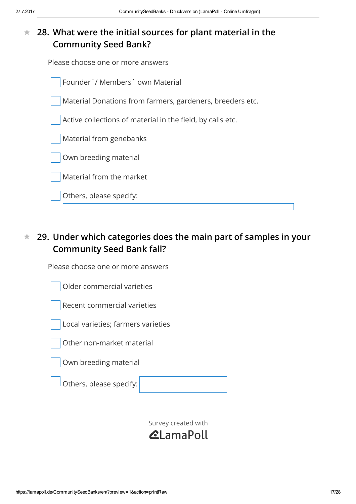### 28. What were the initial sources for plant material in the Community Seed Bank?  $\frac{1}{\sqrt{2}}$

Please choose one or more answers



### 29. Under which categories does the main part of samples in your Community Seed Bank fall?  $\frac{1}{\sqrt{2}}$

Please choose one or more answers

Older commercial varieties







Own breeding material

Others, please specify:

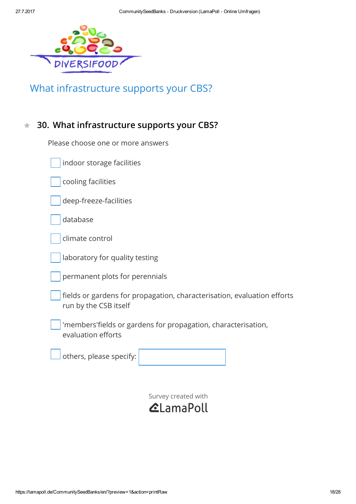

# What infrastructure supports your CBS?

#### $\frac{1}{\sqrt{2}}$ 30. What infrastructure supports your CBS?

Please choose one or more answers

| indoor storage facilities |
|---------------------------|
|---------------------------|

cooling facilities

deep-freeze-facilities

database

laboratory for quality testing

permanent plots for perennials

fields or gardens for propagation, characterisation, evaluation efforts run by the CSB itself

'members'fields or gardens for propagation, characterisation, evaluation efforts

others, please specify:

Survey [created](https://www.lamapoll.de/) with

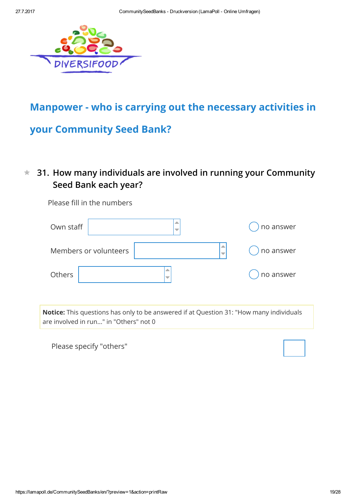

## Manpower - who is carrying out the necessary activities in

## your Community Seed Bank?

### 31. How many individuals are involved in running your Community Seed Bank each year?  $\bigstar$

Please fill in the numbers

| Own staff             | ▲ | no answer |
|-----------------------|---|-----------|
| Members or volunteers |   | no answer |
| Others                | ▲ | no answer |

Notice: This questions has only to be answered if at Question 31: "How many individuals are involved in run..." in "Others" not 0

Please specify "others"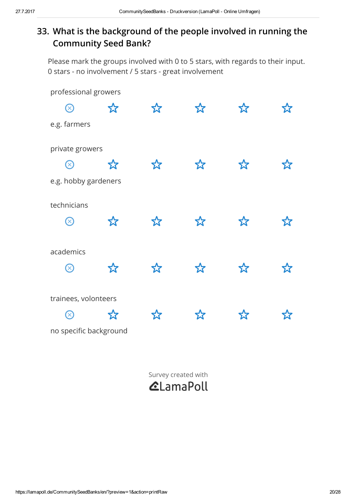## 33. What is the background of the people involved in running the Community Seed Bank?

Please mark the groups involved with 0 to 5 stars, with regards to their input. 0 stars - no involvement / 5 stars - great involvement

| professional growers     |    |       |    |   |  |
|--------------------------|----|-------|----|---|--|
| $\bigotimes$             | 公  | ኢረ    | ☆  | 公 |  |
| e.g. farmers             |    |       |    |   |  |
| private growers          |    |       |    |   |  |
| $\bm{\vartriangleright}$ | ኢን | ጟ፞፞፞፞ | ኢረ | な |  |
| e.g. hobby gardeners     |    |       |    |   |  |
| technicians              |    |       |    |   |  |
| $\bigotimes$             | ☆  | ኢን    | ☆  | 饮 |  |
| academics                |    |       |    |   |  |
| $\bigotimes$             | 公  | ኢረ    | ☆  | 饮 |  |
| trainees, volonteers     |    |       |    |   |  |
| $(\times$                | ኢን |       | ኢን |   |  |
| no specific background   |    |       |    |   |  |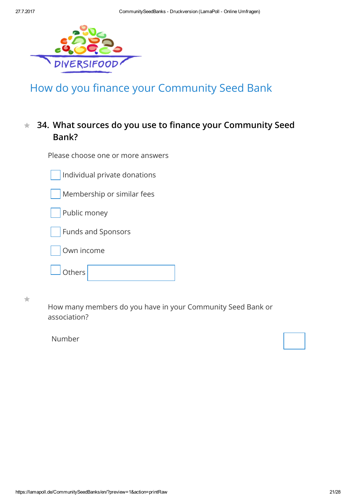

# How do you finance your Community Seed Bank

#### 34. What sources do you use to finance your Community Seed Bank?  $\frac{1}{\sqrt{2}}$

Please choose one or more answers

Individual private donations

Membership or similar fees

Public money

Funds and Sponsors



**Others** 

 $\frac{1}{2\sqrt{3}}$ 

How many members do you have in your Community Seed Bank or association?

Number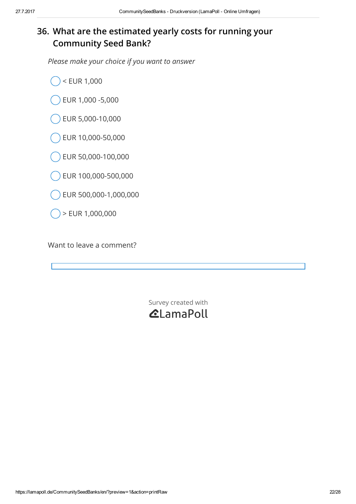## 36. What are the estimated yearly costs for running your Community Seed Bank?

Please make your choice if you want to answer

- < EUR 1,000
- EUR 1,000 -5,000
- EUR 5,000-10,000
- EUR 10,000-50,000
- EUR 50,000-100,000
- EUR 100,000-500,000
- EUR 500,000-1,000,000
- > EUR 1,000,000

Want to leave a comment?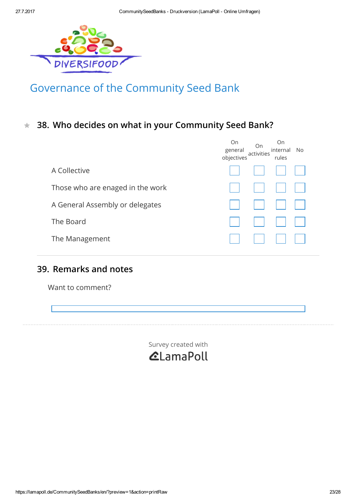

# Governance of the Community Seed Bank

 $\star$  38. Who decides on what in your Community Seed Bank?

|                                  | On<br>general<br>objectives | On<br>activities | On<br>internal<br>rules | No. |
|----------------------------------|-----------------------------|------------------|-------------------------|-----|
| A Collective                     |                             |                  |                         |     |
| Those who are enaged in the work |                             |                  |                         |     |
| A General Assembly or delegates  |                             |                  |                         |     |
| The Board                        |                             |                  |                         |     |
| The Management                   |                             |                  |                         |     |

## 39. Remarks and notes

Want to comment?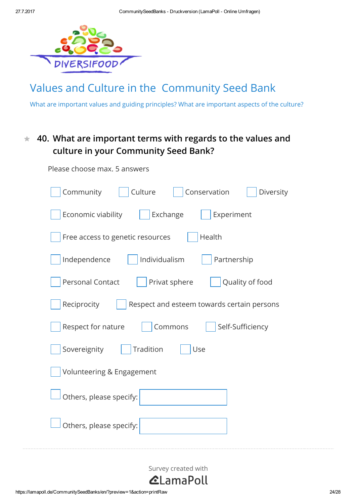

Please choose max. 5 answers

# Values and Culture in the Community Seed Bank

What are important values and guiding principles? What are important aspects of the culture?

### 40. What are important terms with regards to the values and culture in your Community Seed Bank?  $\frac{1}{\sqrt{2}}$

| Culture<br>Conservation<br>Community<br>Diversity           |
|-------------------------------------------------------------|
| Exchange<br>Economic viability<br>Experiment                |
| Health<br>Free access to genetic resources                  |
| Independence<br>Individualism<br>Partnership                |
| <b>Personal Contact</b><br>Privat sphere<br>Quality of food |
| Reciprocity<br>Respect and esteem towards certain persons   |
| Respect for nature<br>Self-Sufficiency<br>Commons           |
| Sovereignity<br><b>Tradition</b><br>Use                     |
| Volunteering & Engagement                                   |
| Others, please specify:                                     |
| Others, please specify:                                     |

Survey [created](https://www.lamapoll.de/) with

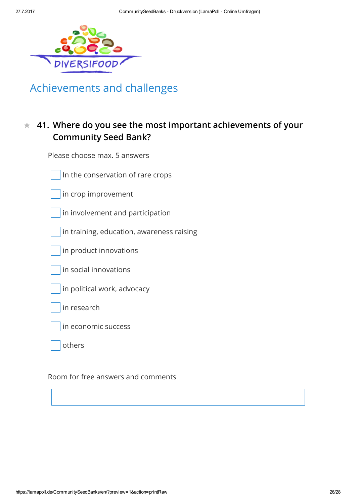

# Achievements and challenges

### 41. Where do you see the most important achievements of your Community Seed Bank?  $\frac{1}{\sqrt{2}}$

Please choose max. 5 answers

In the conservation of rare crops

in crop improvement

in involvement and participation

in training, education, awareness raising

in product innovations

in social innovations

in political work, advocacy

in research

in economic success

others

Room for free answers and comments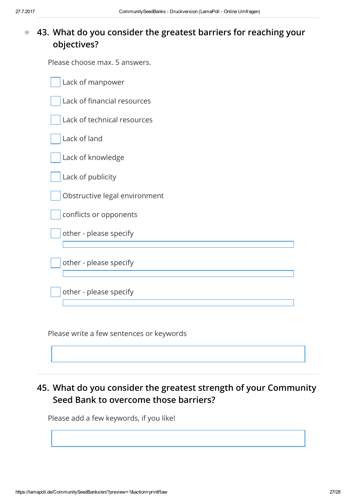### 43. What do you consider the greatest barriers for reaching your objectives?  $\bigstar$

Please choose max. 5 answers.

| Lack of manpower              |
|-------------------------------|
| Lack of financial resources   |
| Lack of technical resources   |
| Lack of land                  |
| Lack of knowledge             |
| Lack of publicity             |
| Obstructive legal environment |
| conflicts or opponents        |
| other - please specify        |
| other - please specify        |
| other - please specify        |

Please write a few sentences or keywords

## 45. What do you consider the greatest strength of your Community Seed Bank to overcome those barriers?

Please add a few keywords, if you like!